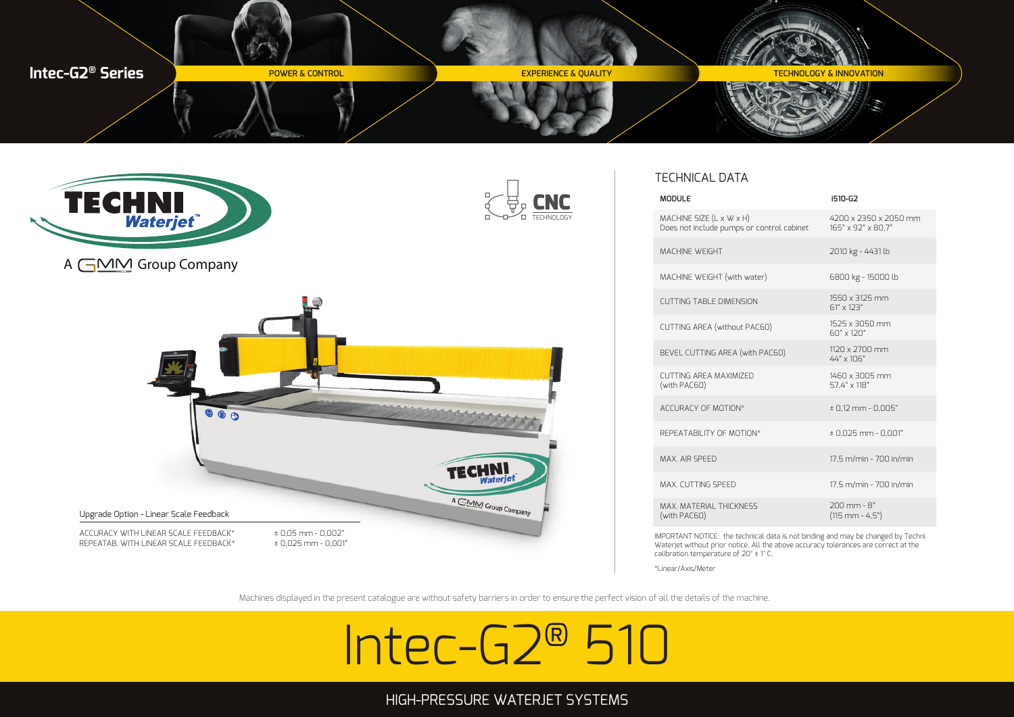







# TECHNICAL DATA

IMPORTANT NOTICE: the technical data is not binding and may be changed by Techni Waterjet without prior notice. All the above accuracy tolerances are correct at the calibration temperature of 20° ± 1° C.

\*Linear/Axis/Meter

Machines displayed in the present catalogue are without safety barriers in order to ensure the perfect vision of all the details of the machine.

# Intec-G2® 510

# HIGH-PRESSURE WATERJET SYSTEMS